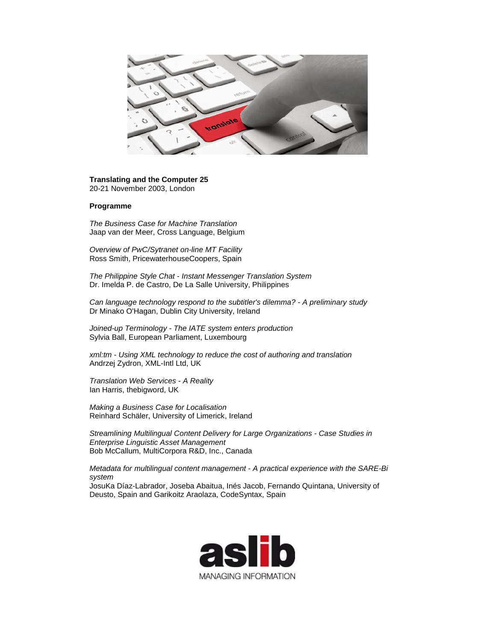

**Translating and the Computer 25** 20-21 November 2003, London

## **Programme**

*The Business Case for Machine Translation* Jaap van der Meer, Cross Language, Belgium

*Overview of PwC/Sytranet on-line MT Facility* Ross Smith, PricewaterhouseCoopers, Spain

*The Philippine Style Chat - Instant Messenger Translation System* Dr. Imelda P. de Castro, De La Salle University, Philippines

*Can language technology respond to the subtitler's dilemma? - A preliminary study* Dr Minako O'Hagan, Dublin City University, Ireland

*Joined-up Terminology - The IATE system enters production* Sylvia Ball, European Parliament, Luxembourg

*xml:tm - Using XML technology to reduce the cost of authoring and translation* Andrzej Zydron, XML-Intl Ltd, UK

*Translation Web Services - A Reality* Ian Harris, thebigword, UK

*Making a Business Case for Localisation* Reinhard Schäler, University of Limerick, Ireland

*Streamlining Multilingual Content Delivery for Large Organizations - Case Studies in Enterprise Linguistic Asset Management* Bob McCallum, MultiCorpora R&D, Inc., Canada

*Metadata for multilingual content management - A practical experience with the SARE-Bi system*

JosuKa Díaz-Labrador, Joseba Abaitua, Inés Jacob, Fernando Quintana, University of Deusto, Spain and Garikoitz Araolaza, CodeSyntax, Spain